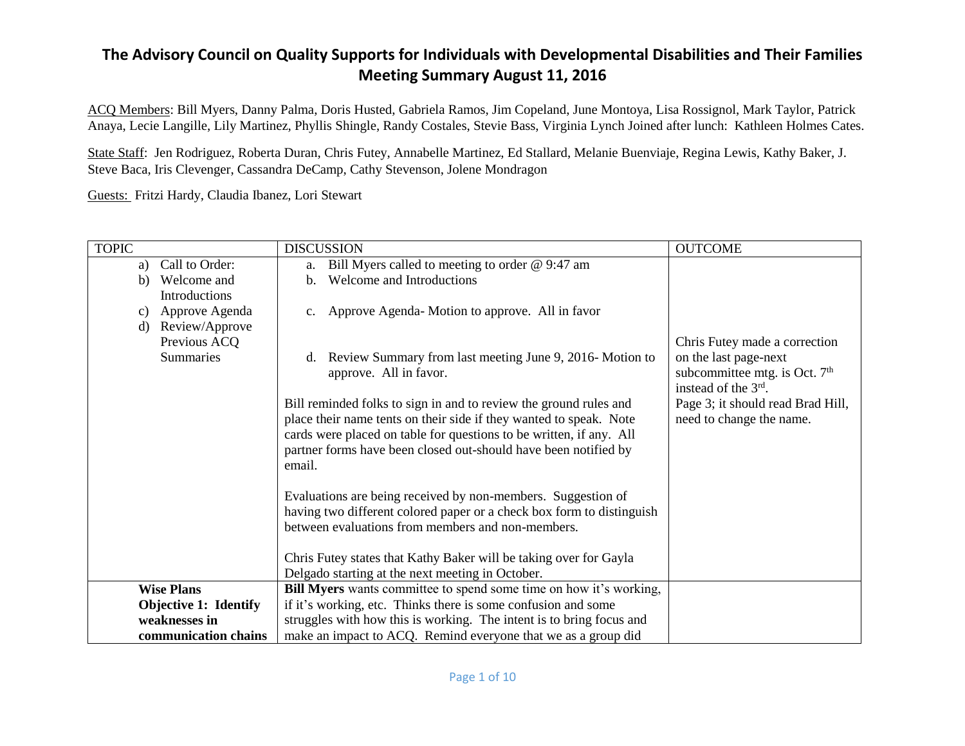ACQ Members: Bill Myers, Danny Palma, Doris Husted, Gabriela Ramos, Jim Copeland, June Montoya, Lisa Rossignol, Mark Taylor, Patrick Anaya, Lecie Langille, Lily Martinez, Phyllis Shingle, Randy Costales, Stevie Bass, Virginia Lynch Joined after lunch: Kathleen Holmes Cates.

State Staff: Jen Rodriguez, Roberta Duran, Chris Futey, Annabelle Martinez, Ed Stallard, Melanie Buenviaje, Regina Lewis, Kathy Baker, J. Steve Baca, Iris Clevenger, Cassandra DeCamp, Cathy Stevenson, Jolene Mondragon

Guests: Fritzi Hardy, Claudia Ibanez, Lori Stewart

| <b>TOPIC</b>                 | <b>DISCUSSION</b>                                                                                                             | <b>OUTCOME</b>                    |
|------------------------------|-------------------------------------------------------------------------------------------------------------------------------|-----------------------------------|
| Call to Order:<br>a)         | Bill Myers called to meeting to order @ 9:47 am<br>a.                                                                         |                                   |
| b) Welcome and               | Welcome and Introductions<br>$h_{-}$                                                                                          |                                   |
| Introductions                |                                                                                                                               |                                   |
| Approve Agenda<br>C)         | Approve Agenda-Motion to approve. All in favor<br>$c_{\cdot}$                                                                 |                                   |
| Review/Approve<br>$\rm d)$   |                                                                                                                               |                                   |
| Previous ACQ                 |                                                                                                                               | Chris Futey made a correction     |
| <b>Summaries</b>             | d. Review Summary from last meeting June 9, 2016-Motion to                                                                    | on the last page-next             |
|                              | approve. All in favor.                                                                                                        | subcommittee mtg. is Oct. $7th$   |
|                              |                                                                                                                               | instead of the 3 <sup>rd</sup> .  |
|                              | Bill reminded folks to sign in and to review the ground rules and                                                             | Page 3; it should read Brad Hill, |
|                              | place their name tents on their side if they wanted to speak. Note                                                            | need to change the name.          |
|                              | cards were placed on table for questions to be written, if any. All                                                           |                                   |
|                              | partner forms have been closed out-should have been notified by                                                               |                                   |
|                              | email.                                                                                                                        |                                   |
|                              |                                                                                                                               |                                   |
|                              | Evaluations are being received by non-members. Suggestion of                                                                  |                                   |
|                              | having two different colored paper or a check box form to distinguish                                                         |                                   |
|                              | between evaluations from members and non-members.                                                                             |                                   |
|                              |                                                                                                                               |                                   |
|                              | Chris Futey states that Kathy Baker will be taking over for Gayla                                                             |                                   |
| <b>Wise Plans</b>            | Delgado starting at the next meeting in October.<br><b>Bill Myers</b> wants committee to spend some time on how it's working, |                                   |
|                              |                                                                                                                               |                                   |
| <b>Objective 1: Identify</b> | if it's working, etc. Thinks there is some confusion and some                                                                 |                                   |
| weaknesses in                | struggles with how this is working. The intent is to bring focus and                                                          |                                   |
| communication chains         | make an impact to ACQ. Remind everyone that we as a group did                                                                 |                                   |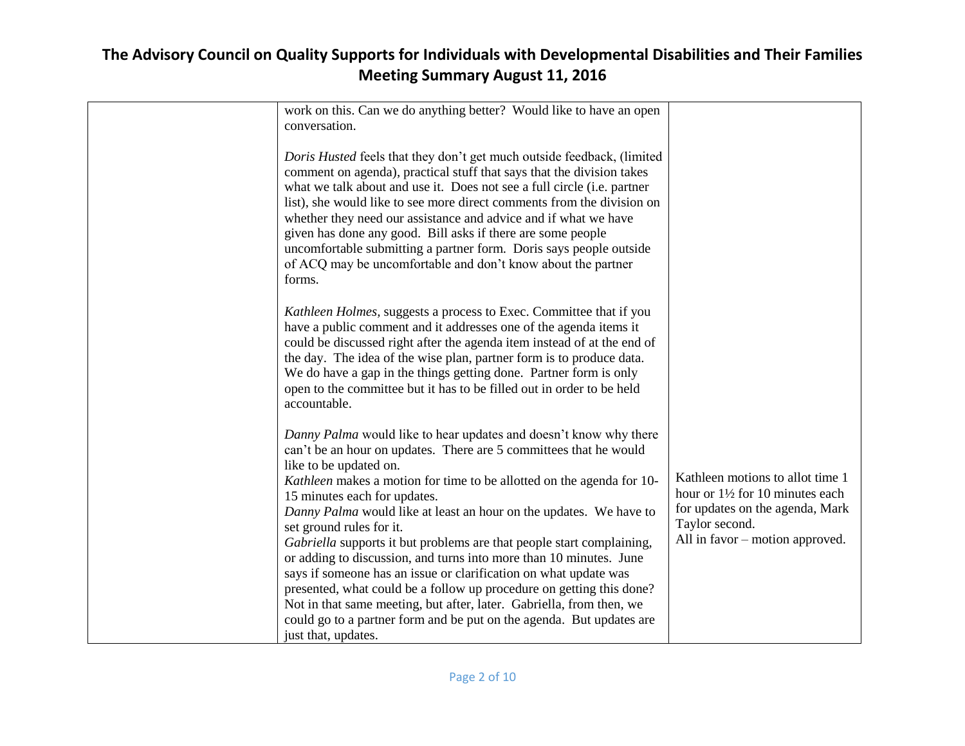| work on this. Can we do anything better? Would like to have an open<br>conversation.                                                                                                                                                                                                                                                                                                                                                                                                                                                                                                                                                                                                                                                                                                                                                          |                                                                                                                                                            |
|-----------------------------------------------------------------------------------------------------------------------------------------------------------------------------------------------------------------------------------------------------------------------------------------------------------------------------------------------------------------------------------------------------------------------------------------------------------------------------------------------------------------------------------------------------------------------------------------------------------------------------------------------------------------------------------------------------------------------------------------------------------------------------------------------------------------------------------------------|------------------------------------------------------------------------------------------------------------------------------------------------------------|
| Doris Husted feels that they don't get much outside feedback, (limited<br>comment on agenda), practical stuff that says that the division takes<br>what we talk about and use it. Does not see a full circle (i.e. partner<br>list), she would like to see more direct comments from the division on<br>whether they need our assistance and advice and if what we have<br>given has done any good. Bill asks if there are some people<br>uncomfortable submitting a partner form. Doris says people outside<br>of ACQ may be uncomfortable and don't know about the partner<br>forms.                                                                                                                                                                                                                                                        |                                                                                                                                                            |
| Kathleen Holmes, suggests a process to Exec. Committee that if you<br>have a public comment and it addresses one of the agenda items it<br>could be discussed right after the agenda item instead of at the end of<br>the day. The idea of the wise plan, partner form is to produce data.<br>We do have a gap in the things getting done. Partner form is only<br>open to the committee but it has to be filled out in order to be held<br>accountable.                                                                                                                                                                                                                                                                                                                                                                                      |                                                                                                                                                            |
| Danny Palma would like to hear updates and doesn't know why there<br>can't be an hour on updates. There are 5 committees that he would<br>like to be updated on.<br>Kathleen makes a motion for time to be allotted on the agenda for 10-<br>15 minutes each for updates.<br>Danny Palma would like at least an hour on the updates. We have to<br>set ground rules for it.<br>Gabriella supports it but problems are that people start complaining,<br>or adding to discussion, and turns into more than 10 minutes. June<br>says if someone has an issue or clarification on what update was<br>presented, what could be a follow up procedure on getting this done?<br>Not in that same meeting, but after, later. Gabriella, from then, we<br>could go to a partner form and be put on the agenda. But updates are<br>just that, updates. | Kathleen motions to allot time 1<br>hour or 1½ for 10 minutes each<br>for updates on the agenda, Mark<br>Taylor second.<br>All in favor – motion approved. |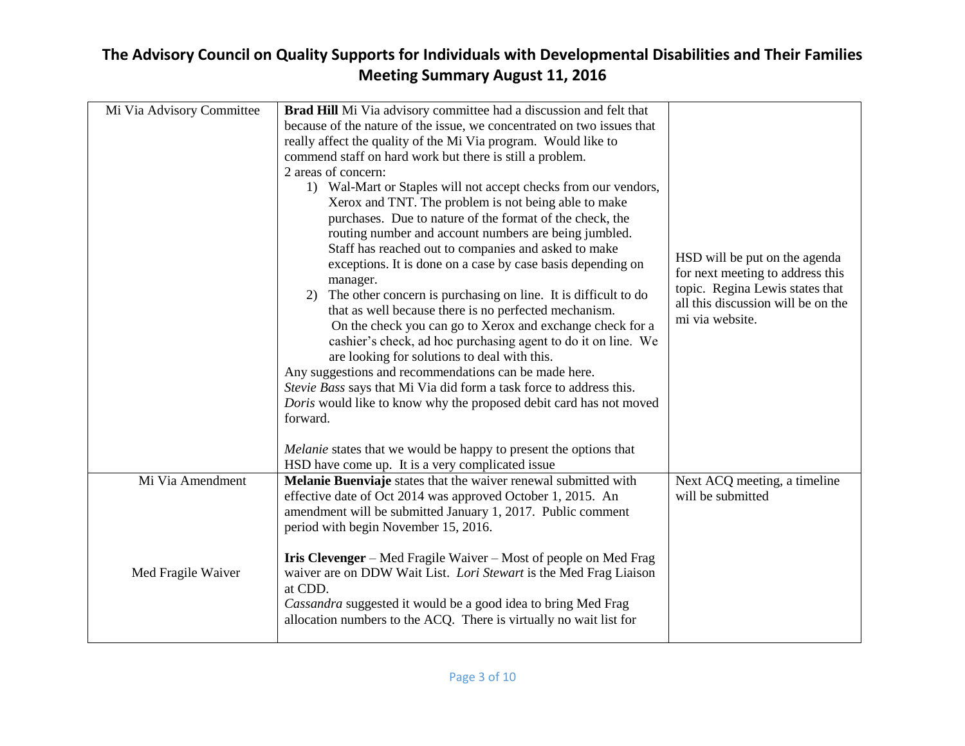| Mi Via Advisory Committee | Brad Hill Mi Via advisory committee had a discussion and felt that<br>because of the nature of the issue, we concentrated on two issues that<br>really affect the quality of the Mi Via program. Would like to<br>commend staff on hard work but there is still a problem.<br>2 areas of concern:<br>1) Wal-Mart or Staples will not accept checks from our vendors,<br>Xerox and TNT. The problem is not being able to make<br>purchases. Due to nature of the format of the check, the<br>routing number and account numbers are being jumbled.<br>Staff has reached out to companies and asked to make<br>exceptions. It is done on a case by case basis depending on<br>manager.<br>2) The other concern is purchasing on line. It is difficult to do<br>that as well because there is no perfected mechanism.<br>On the check you can go to Xerox and exchange check for a<br>cashier's check, ad hoc purchasing agent to do it on line. We<br>are looking for solutions to deal with this.<br>Any suggestions and recommendations can be made here.<br>Stevie Bass says that Mi Via did form a task force to address this.<br>Doris would like to know why the proposed debit card has not moved<br>forward. | HSD will be put on the agenda<br>for next meeting to address this<br>topic. Regina Lewis states that<br>all this discussion will be on the<br>mi via website. |
|---------------------------|--------------------------------------------------------------------------------------------------------------------------------------------------------------------------------------------------------------------------------------------------------------------------------------------------------------------------------------------------------------------------------------------------------------------------------------------------------------------------------------------------------------------------------------------------------------------------------------------------------------------------------------------------------------------------------------------------------------------------------------------------------------------------------------------------------------------------------------------------------------------------------------------------------------------------------------------------------------------------------------------------------------------------------------------------------------------------------------------------------------------------------------------------------------------------------------------------------------------|---------------------------------------------------------------------------------------------------------------------------------------------------------------|
|                           | <i>Melanie</i> states that we would be happy to present the options that<br>HSD have come up. It is a very complicated issue                                                                                                                                                                                                                                                                                                                                                                                                                                                                                                                                                                                                                                                                                                                                                                                                                                                                                                                                                                                                                                                                                       |                                                                                                                                                               |
| Mi Via Amendment          | Melanie Buenviaje states that the waiver renewal submitted with<br>effective date of Oct 2014 was approved October 1, 2015. An<br>amendment will be submitted January 1, 2017. Public comment<br>period with begin November 15, 2016.                                                                                                                                                                                                                                                                                                                                                                                                                                                                                                                                                                                                                                                                                                                                                                                                                                                                                                                                                                              | Next ACQ meeting, a timeline<br>will be submitted                                                                                                             |
| Med Fragile Waiver        | <b>Iris Clevenger</b> – Med Fragile Waiver – Most of people on Med Frag<br>waiver are on DDW Wait List. Lori Stewart is the Med Frag Liaison<br>at CDD.<br>Cassandra suggested it would be a good idea to bring Med Frag<br>allocation numbers to the ACQ. There is virtually no wait list for                                                                                                                                                                                                                                                                                                                                                                                                                                                                                                                                                                                                                                                                                                                                                                                                                                                                                                                     |                                                                                                                                                               |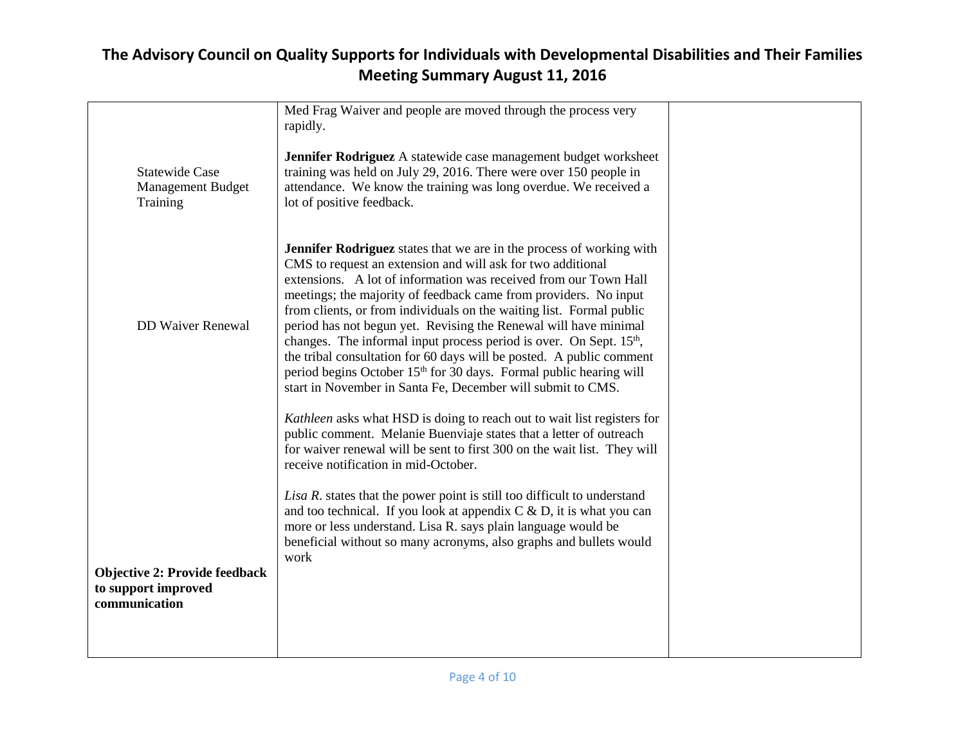|                                                                              | Med Frag Waiver and people are moved through the process very<br>rapidly.                                                                                                                                                                                                                                                                                                                                                                                                                                                                                                                                                                                                                                                                  |  |
|------------------------------------------------------------------------------|--------------------------------------------------------------------------------------------------------------------------------------------------------------------------------------------------------------------------------------------------------------------------------------------------------------------------------------------------------------------------------------------------------------------------------------------------------------------------------------------------------------------------------------------------------------------------------------------------------------------------------------------------------------------------------------------------------------------------------------------|--|
| <b>Statewide Case</b><br><b>Management Budget</b><br>Training                | Jennifer Rodriguez A statewide case management budget worksheet<br>training was held on July 29, 2016. There were over 150 people in<br>attendance. We know the training was long overdue. We received a<br>lot of positive feedback.                                                                                                                                                                                                                                                                                                                                                                                                                                                                                                      |  |
| <b>DD Waiver Renewal</b>                                                     | <b>Jennifer Rodriguez</b> states that we are in the process of working with<br>CMS to request an extension and will ask for two additional<br>extensions. A lot of information was received from our Town Hall<br>meetings; the majority of feedback came from providers. No input<br>from clients, or from individuals on the waiting list. Formal public<br>period has not begun yet. Revising the Renewal will have minimal<br>changes. The informal input process period is over. On Sept. 15 <sup>th</sup> ,<br>the tribal consultation for 60 days will be posted. A public comment<br>period begins October 15 <sup>th</sup> for 30 days. Formal public hearing will<br>start in November in Santa Fe, December will submit to CMS. |  |
|                                                                              | Kathleen asks what HSD is doing to reach out to wait list registers for<br>public comment. Melanie Buenviaje states that a letter of outreach<br>for waiver renewal will be sent to first 300 on the wait list. They will<br>receive notification in mid-October.                                                                                                                                                                                                                                                                                                                                                                                                                                                                          |  |
|                                                                              | Lisa R. states that the power point is still too difficult to understand<br>and too technical. If you look at appendix $C \& D$ , it is what you can<br>more or less understand. Lisa R. says plain language would be<br>beneficial without so many acronyms, also graphs and bullets would<br>work                                                                                                                                                                                                                                                                                                                                                                                                                                        |  |
| <b>Objective 2: Provide feedback</b><br>to support improved<br>communication |                                                                                                                                                                                                                                                                                                                                                                                                                                                                                                                                                                                                                                                                                                                                            |  |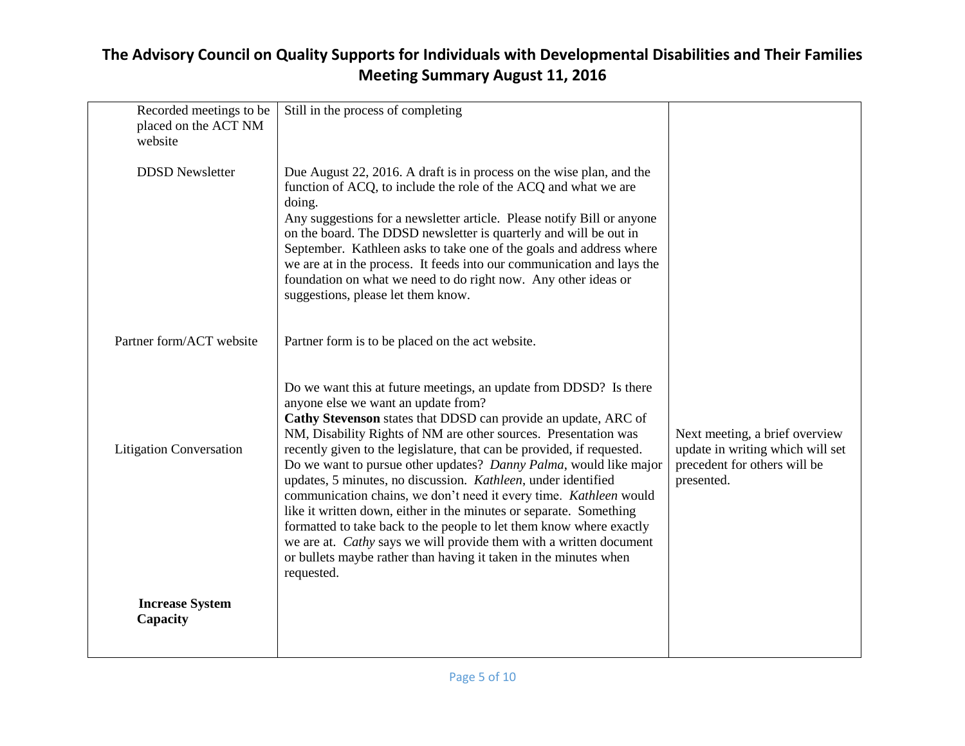| Recorded meetings to be<br>placed on the ACT NM<br>website | Still in the process of completing                                                                                                                                                                                                                                                                                                                                                                                                                                                                                                                                                                                                                                                                                                                                                                                                      |                                                                                                                  |
|------------------------------------------------------------|-----------------------------------------------------------------------------------------------------------------------------------------------------------------------------------------------------------------------------------------------------------------------------------------------------------------------------------------------------------------------------------------------------------------------------------------------------------------------------------------------------------------------------------------------------------------------------------------------------------------------------------------------------------------------------------------------------------------------------------------------------------------------------------------------------------------------------------------|------------------------------------------------------------------------------------------------------------------|
| <b>DDSD</b> Newsletter                                     | Due August 22, 2016. A draft is in process on the wise plan, and the<br>function of ACQ, to include the role of the ACQ and what we are<br>doing.<br>Any suggestions for a newsletter article. Please notify Bill or anyone<br>on the board. The DDSD newsletter is quarterly and will be out in<br>September. Kathleen asks to take one of the goals and address where<br>we are at in the process. It feeds into our communication and lays the<br>foundation on what we need to do right now. Any other ideas or<br>suggestions, please let them know.                                                                                                                                                                                                                                                                               |                                                                                                                  |
| Partner form/ACT website                                   | Partner form is to be placed on the act website.                                                                                                                                                                                                                                                                                                                                                                                                                                                                                                                                                                                                                                                                                                                                                                                        |                                                                                                                  |
| <b>Litigation Conversation</b>                             | Do we want this at future meetings, an update from DDSD? Is there<br>anyone else we want an update from?<br>Cathy Stevenson states that DDSD can provide an update, ARC of<br>NM, Disability Rights of NM are other sources. Presentation was<br>recently given to the legislature, that can be provided, if requested.<br>Do we want to pursue other updates? Danny Palma, would like major<br>updates, 5 minutes, no discussion. Kathleen, under identified<br>communication chains, we don't need it every time. Kathleen would<br>like it written down, either in the minutes or separate. Something<br>formatted to take back to the people to let them know where exactly<br>we are at. Cathy says we will provide them with a written document<br>or bullets maybe rather than having it taken in the minutes when<br>requested. | Next meeting, a brief overview<br>update in writing which will set<br>precedent for others will be<br>presented. |
| <b>Increase System</b><br>Capacity                         |                                                                                                                                                                                                                                                                                                                                                                                                                                                                                                                                                                                                                                                                                                                                                                                                                                         |                                                                                                                  |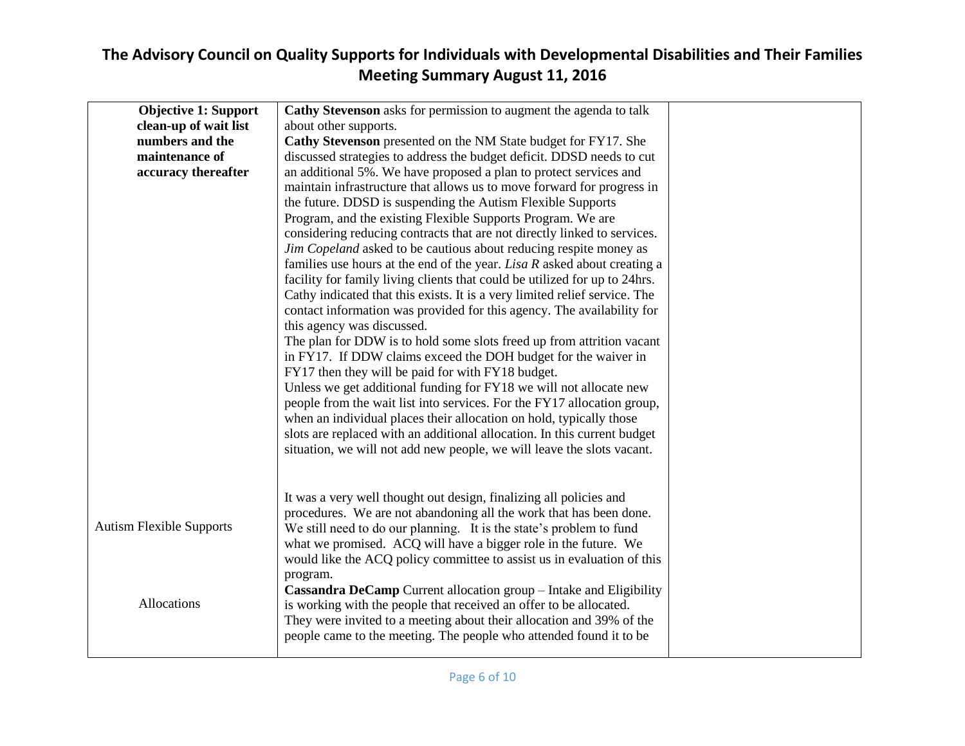| <b>Objective 1: Support</b>     | Cathy Stevenson asks for permission to augment the agenda to talk          |
|---------------------------------|----------------------------------------------------------------------------|
| clean-up of wait list           | about other supports.                                                      |
| numbers and the                 | Cathy Stevenson presented on the NM State budget for FY17. She             |
|                                 |                                                                            |
| maintenance of                  | discussed strategies to address the budget deficit. DDSD needs to cut      |
| accuracy thereafter             | an additional 5%. We have proposed a plan to protect services and          |
|                                 | maintain infrastructure that allows us to move forward for progress in     |
|                                 | the future. DDSD is suspending the Autism Flexible Supports                |
|                                 | Program, and the existing Flexible Supports Program. We are                |
|                                 | considering reducing contracts that are not directly linked to services.   |
|                                 | Jim Copeland asked to be cautious about reducing respite money as          |
|                                 | families use hours at the end of the year. Lisa $R$ asked about creating a |
|                                 | facility for family living clients that could be utilized for up to 24hrs. |
|                                 | Cathy indicated that this exists. It is a very limited relief service. The |
|                                 | contact information was provided for this agency. The availability for     |
|                                 | this agency was discussed.                                                 |
|                                 | The plan for DDW is to hold some slots freed up from attrition vacant      |
|                                 | in FY17. If DDW claims exceed the DOH budget for the waiver in             |
|                                 | FY17 then they will be paid for with FY18 budget.                          |
|                                 | Unless we get additional funding for FY18 we will not allocate new         |
|                                 | people from the wait list into services. For the FY17 allocation group,    |
|                                 | when an individual places their allocation on hold, typically those        |
|                                 | slots are replaced with an additional allocation. In this current budget   |
|                                 | situation, we will not add new people, we will leave the slots vacant.     |
|                                 |                                                                            |
|                                 |                                                                            |
|                                 | It was a very well thought out design, finalizing all policies and         |
|                                 | procedures. We are not abandoning all the work that has been done.         |
| <b>Autism Flexible Supports</b> | We still need to do our planning. It is the state's problem to fund        |
|                                 | what we promised. ACQ will have a bigger role in the future. We            |
|                                 | would like the ACQ policy committee to assist us in evaluation of this     |
|                                 | program.                                                                   |
|                                 | Cassandra DeCamp Current allocation group - Intake and Eligibility         |
| Allocations                     | is working with the people that received an offer to be allocated.         |
|                                 | They were invited to a meeting about their allocation and 39% of the       |
|                                 | people came to the meeting. The people who attended found it to be         |
|                                 |                                                                            |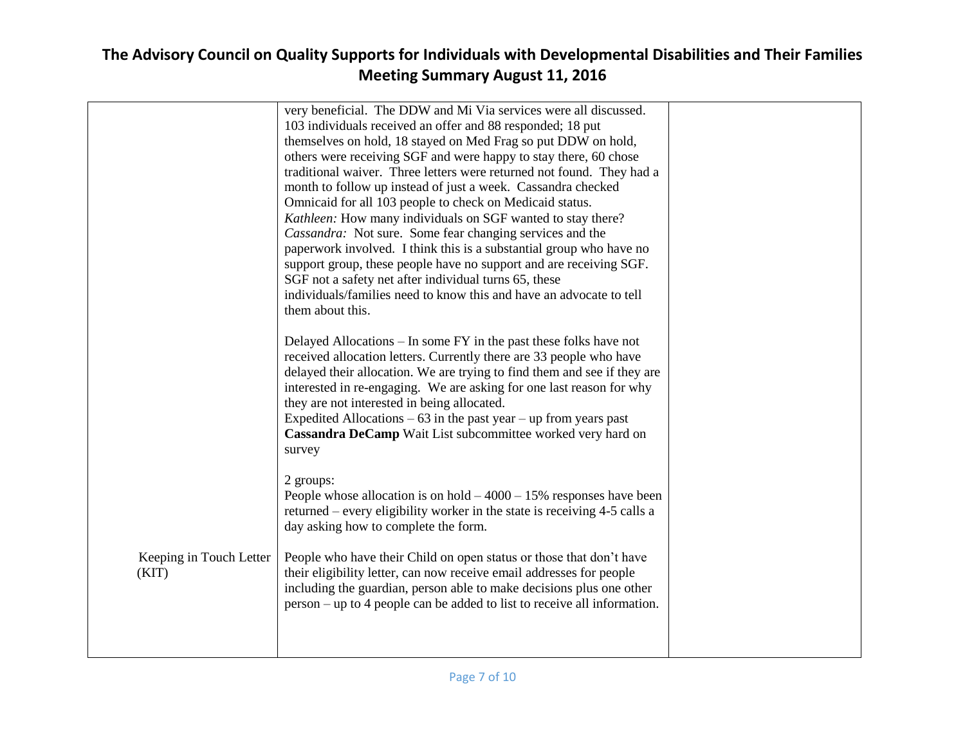|                                  | very beneficial. The DDW and Mi Via services were all discussed.<br>103 individuals received an offer and 88 responded; 18 put<br>themselves on hold, 18 stayed on Med Frag so put DDW on hold,<br>others were receiving SGF and were happy to stay there, 60 chose<br>traditional waiver. Three letters were returned not found. They had a<br>month to follow up instead of just a week. Cassandra checked<br>Omnicaid for all 103 people to check on Medicaid status.<br>Kathleen: How many individuals on SGF wanted to stay there?<br>Cassandra: Not sure. Some fear changing services and the<br>paperwork involved. I think this is a substantial group who have no |  |
|----------------------------------|----------------------------------------------------------------------------------------------------------------------------------------------------------------------------------------------------------------------------------------------------------------------------------------------------------------------------------------------------------------------------------------------------------------------------------------------------------------------------------------------------------------------------------------------------------------------------------------------------------------------------------------------------------------------------|--|
|                                  | support group, these people have no support and are receiving SGF.<br>SGF not a safety net after individual turns 65, these<br>individuals/families need to know this and have an advocate to tell<br>them about this.                                                                                                                                                                                                                                                                                                                                                                                                                                                     |  |
|                                  | Delayed Allocations – In some FY in the past these folks have not<br>received allocation letters. Currently there are 33 people who have<br>delayed their allocation. We are trying to find them and see if they are<br>interested in re-engaging. We are asking for one last reason for why<br>they are not interested in being allocated.<br>Expedited Allocations $-63$ in the past year $-$ up from years past<br>Cassandra DeCamp Wait List subcommittee worked very hard on<br>survey                                                                                                                                                                                |  |
|                                  | 2 groups:<br>People whose allocation is on hold $-4000 - 15%$ responses have been<br>returned – every eligibility worker in the state is receiving 4-5 calls a<br>day asking how to complete the form.                                                                                                                                                                                                                                                                                                                                                                                                                                                                     |  |
| Keeping in Touch Letter<br>(KIT) | People who have their Child on open status or those that don't have<br>their eligibility letter, can now receive email addresses for people<br>including the guardian, person able to make decisions plus one other<br>person – up to 4 people can be added to list to receive all information.                                                                                                                                                                                                                                                                                                                                                                            |  |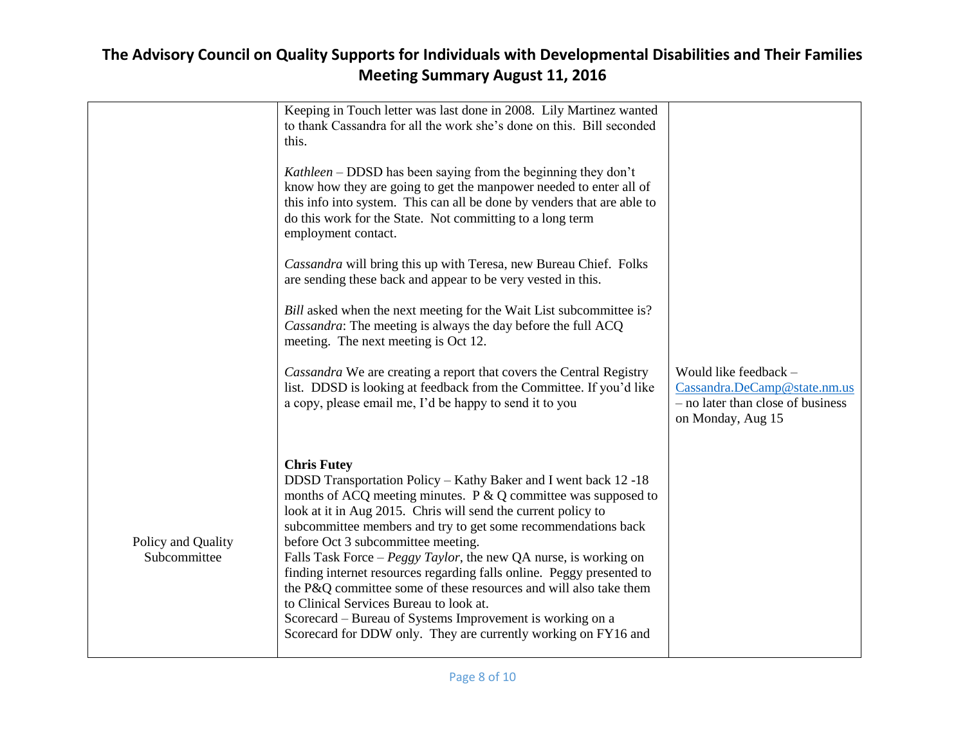|                                    | Keeping in Touch letter was last done in 2008. Lily Martinez wanted<br>to thank Cassandra for all the work she's done on this. Bill seconded<br>this.<br>Kathleen – DDSD has been saying from the beginning they don't<br>know how they are going to get the manpower needed to enter all of<br>this info into system. This can all be done by venders that are able to<br>do this work for the State. Not committing to a long term<br>employment contact.<br>Cassandra will bring this up with Teresa, new Bureau Chief. Folks<br>are sending these back and appear to be very vested in this.<br><i>Bill</i> asked when the next meeting for the Wait List subcommittee is?<br>Cassandra: The meeting is always the day before the full ACQ<br>meeting. The next meeting is Oct 12.<br>Cassandra We are creating a report that covers the Central Registry<br>list. DDSD is looking at feedback from the Committee. If you'd like<br>a copy, please email me, I'd be happy to send it to you | Would like feedback -<br>Cassandra.DeCamp@state.nm.us<br>- no later than close of business |
|------------------------------------|-------------------------------------------------------------------------------------------------------------------------------------------------------------------------------------------------------------------------------------------------------------------------------------------------------------------------------------------------------------------------------------------------------------------------------------------------------------------------------------------------------------------------------------------------------------------------------------------------------------------------------------------------------------------------------------------------------------------------------------------------------------------------------------------------------------------------------------------------------------------------------------------------------------------------------------------------------------------------------------------------|--------------------------------------------------------------------------------------------|
| Policy and Quality<br>Subcommittee | <b>Chris Futey</b><br>DDSD Transportation Policy – Kathy Baker and I went back 12 -18<br>months of ACQ meeting minutes. $P \& Q$ committee was supposed to<br>look at it in Aug 2015. Chris will send the current policy to<br>subcommittee members and try to get some recommendations back<br>before Oct 3 subcommittee meeting.<br>Falls Task Force – <i>Peggy Taylor</i> , the new QA nurse, is working on<br>finding internet resources regarding falls online. Peggy presented to<br>the P&Q committee some of these resources and will also take them<br>to Clinical Services Bureau to look at.<br>Scorecard – Bureau of Systems Improvement is working on a<br>Scorecard for DDW only. They are currently working on FY16 and                                                                                                                                                                                                                                                          | on Monday, Aug 15                                                                          |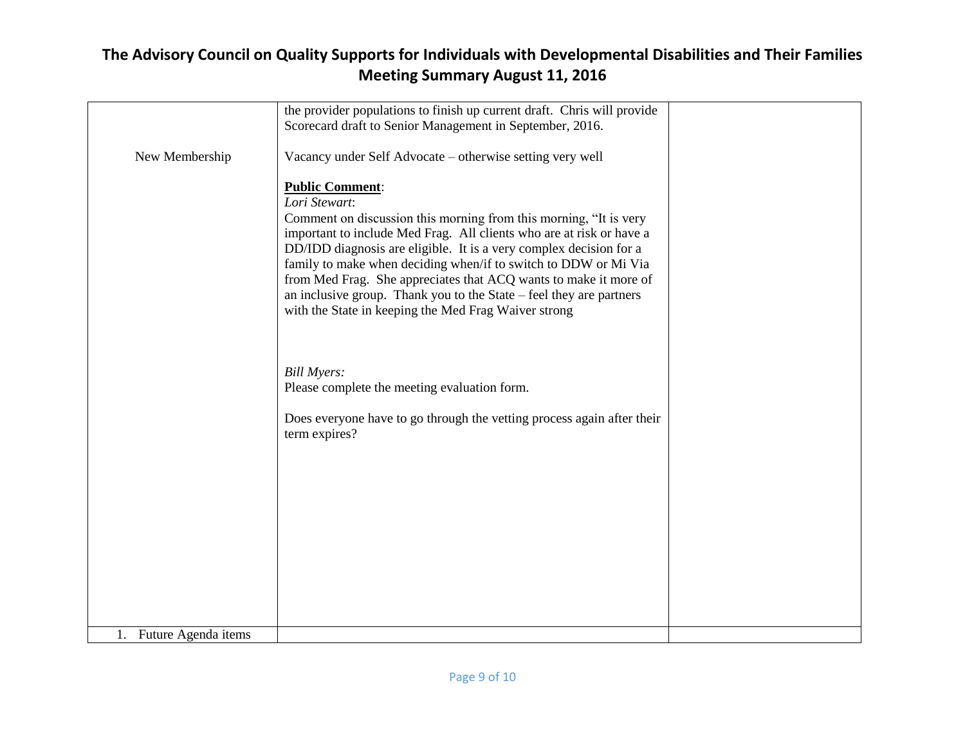|                        | the provider populations to finish up current draft. Chris will provide |  |
|------------------------|-------------------------------------------------------------------------|--|
|                        | Scorecard draft to Senior Management in September, 2016.                |  |
|                        |                                                                         |  |
|                        |                                                                         |  |
| New Membership         | Vacancy under Self Advocate – otherwise setting very well               |  |
|                        |                                                                         |  |
|                        |                                                                         |  |
|                        | <b>Public Comment:</b>                                                  |  |
|                        |                                                                         |  |
|                        | Lori Stewart:                                                           |  |
|                        | Comment on discussion this morning from this morning, "It is very       |  |
|                        |                                                                         |  |
|                        | important to include Med Frag. All clients who are at risk or have a    |  |
|                        | DD/IDD diagnosis are eligible. It is a very complex decision for a      |  |
|                        |                                                                         |  |
|                        | family to make when deciding when/if to switch to DDW or Mi Via         |  |
|                        | from Med Frag. She appreciates that ACQ wants to make it more of        |  |
|                        |                                                                         |  |
|                        | an inclusive group. Thank you to the State – feel they are partners     |  |
|                        | with the State in keeping the Med Frag Waiver strong                    |  |
|                        |                                                                         |  |
|                        |                                                                         |  |
|                        |                                                                         |  |
|                        |                                                                         |  |
|                        |                                                                         |  |
|                        | <b>Bill Myers:</b>                                                      |  |
|                        |                                                                         |  |
|                        | Please complete the meeting evaluation form.                            |  |
|                        |                                                                         |  |
|                        |                                                                         |  |
|                        | Does everyone have to go through the vetting process again after their  |  |
|                        | term expires?                                                           |  |
|                        |                                                                         |  |
|                        |                                                                         |  |
|                        |                                                                         |  |
|                        |                                                                         |  |
|                        |                                                                         |  |
|                        |                                                                         |  |
|                        |                                                                         |  |
|                        |                                                                         |  |
|                        |                                                                         |  |
|                        |                                                                         |  |
|                        |                                                                         |  |
|                        |                                                                         |  |
|                        |                                                                         |  |
|                        |                                                                         |  |
|                        |                                                                         |  |
|                        |                                                                         |  |
|                        |                                                                         |  |
|                        |                                                                         |  |
| 1. Future Agenda items |                                                                         |  |